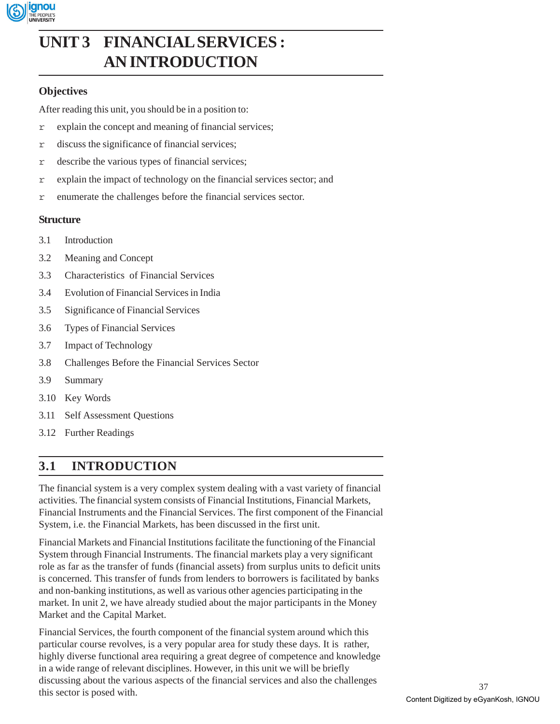

# **UNIT 3 FINANCIAL SERVICES : AN INTRODUCTION**

# **Objectives**

After reading this unit, you should be in a position to:

- r explain the concept and meaning of financial services;
- r discuss the significance of financial services;
- r describe the various types of financial services;
- r explain the impact of technology on the financial services sector; and
- r enumerate the challenges before the financial services sector.

# **Structure**

- 3.1 Introduction
- 3.2 Meaning and Concept
- 3.3 Characteristics of Financial Services
- 3.4 Evolution of Financial Services in India
- 3.5 Significance of Financial Services
- 3.6 Types of Financial Services
- 3.7 Impact of Technology
- 3.8 Challenges Before the Financial Services Sector
- 3.9 Summary
- 3.10 Key Words
- 3.11 Self Assessment Questions
- 3.12 Further Readings

# **3.1 INTRODUCTION**

The financial system is a very complex system dealing with a vast variety of financial activities. The financial system consists of Financial Institutions, Financial Markets, Financial Instruments and the Financial Services. The first component of the Financial System, i.e. the Financial Markets, has been discussed in the first unit.

Financial Markets and Financial Institutions facilitate the functioning of the Financial System through Financial Instruments. The financial markets play a very significant role as far as the transfer of funds (financial assets) from surplus units to deficit units is concerned. This transfer of funds from lenders to borrowers is facilitated by banks and non-banking institutions, as well as various other agencies participating in the market. In unit 2, we have already studied about the major participants in the Money Market and the Capital Market.

Financial Services, the fourth component of the financial system around which this particular course revolves, is a very popular area for study these days. It is rather, highly diverse functional area requiring a great degree of competence and knowledge in a wide range of relevant disciplines. However, in this unit we will be briefly discussing about the various aspects of the financial services and also the challenges this sector is posed with.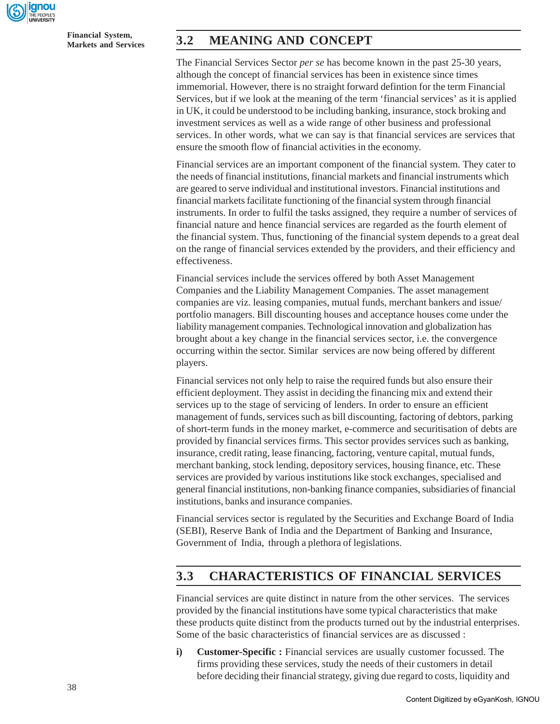

**Financial System,**

# **Markets and Services 3.2 MEANING AND CONCEPT**

The Financial Services Sector *per se* has become known in the past 25-30 years, although the concept of financial services has been in existence since times immemorial. However, there is no straight forward defintion for the term Financial Services, but if we look at the meaning of the term 'financial services' as it is applied in UK, it could be understood to be including banking, insurance, stock broking and investment services as well as a wide range of other business and professional services. In other words, what we can say is that financial services are services that ensure the smooth flow of financial activities in the economy.

Financial services are an important component of the financial system. They cater to the needs of financial institutions, financial markets and financial instruments which are geared to serve individual and institutional investors. Financial institutions and financial markets facilitate functioning of the financial system through financial instruments. In order to fulfil the tasks assigned, they require a number of services of financial nature and hence financial services are regarded as the fourth element of the financial system. Thus, functioning of the financial system depends to a great deal on the range of financial services extended by the providers, and their efficiency and effectiveness.

Financial services include the services offered by both Asset Management Companies and the Liability Management Companies. The asset management companies are viz. leasing companies, mutual funds, merchant bankers and issue/ portfolio managers. Bill discounting houses and acceptance houses come under the liability management companies. Technological innovation and globalization has brought about a key change in the financial services sector, i.e. the convergence occurring within the sector. Similar services are now being offered by different players.

Financial services not only help to raise the required funds but also ensure their efficient deployment. They assist in deciding the financing mix and extend their services up to the stage of servicing of lenders. In order to ensure an efficient management of funds, services such as bill discounting, factoring of debtors, parking of short-term funds in the money market, e-commerce and securitisation of debts are provided by financial services firms. This sector provides services such as banking, insurance, credit rating, lease financing, factoring, venture capital, mutual funds, merchant banking, stock lending, depository services, housing finance, etc. These services are provided by various institutions like stock exchanges, specialised and general financial institutions, non-banking finance companies, subsidiaries of financial institutions, banks and insurance companies.

Financial services sector is regulated by the Securities and Exchange Board of India (SEBI), Reserve Bank of India and the Department of Banking and Insurance, Government of India, through a plethora of legislations.

# **3.3 CHARACTERISTICS OF FINANCIAL SERVICES**

Financial services are quite distinct in nature from the other services. The services provided by the financial institutions have some typical characteristics that make these products quite distinct from the products turned out by the industrial enterprises. Some of the basic characteristics of financial services are as discussed :

**i) Customer-Specific :** Financial services are usually customer focussed. The firms providing these services, study the needs of their customers in detail before deciding their financial strategy, giving due regard to costs, liquidity and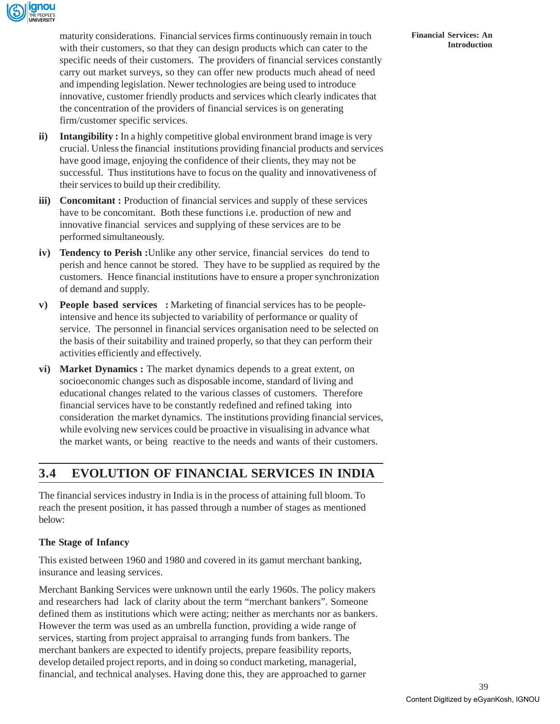

maturity considerations. Financial services firms continuously remain in touch with their customers, so that they can design products which can cater to the specific needs of their customers. The providers of financial services constantly carry out market surveys, so they can offer new products much ahead of need and impending legislation. Newer technologies are being used to introduce innovative, customer friendly products and services which clearly indicates that the concentration of the providers of financial services is on generating firm/customer specific services.

- **ii)** Intangibility: In a highly competitive global environment brand image is very crucial. Unless the financial institutions providing financial products and services have good image, enjoying the confidence of their clients, they may not be successful. Thus institutions have to focus on the quality and innovativeness of their services to build up their credibility.
- **iii)** Concomitant: Production of financial services and supply of these services have to be concomitant. Both these functions i.e. production of new and innovative financial services and supplying of these services are to be performed simultaneously.
- **iv) Tendency to Perish :**Unlike any other service, financial services do tend to perish and hence cannot be stored. They have to be supplied as required by the customers. Hence financial institutions have to ensure a proper synchronization of demand and supply.
- **v) People based services :** Marketing of financial services has to be peopleintensive and hence its subjected to variability of performance or quality of service. The personnel in financial services organisation need to be selected on the basis of their suitability and trained properly, so that they can perform their activities efficiently and effectively.
- **vi) Market Dynamics :** The market dynamics depends to a great extent, on socioeconomic changes such as disposable income, standard of living and educational changes related to the various classes of customers. Therefore financial services have to be constantly redefined and refined taking into consideration the market dynamics. The institutions providing financial services, while evolving new services could be proactive in visualising in advance what the market wants, or being reactive to the needs and wants of their customers.

# **3.4 EVOLUTION OF FINANCIAL SERVICES IN INDIA**

The financial services industry in India is in the process of attaining full bloom. To reach the present position, it has passed through a number of stages as mentioned below:

### **The Stage of Infancy**

This existed between 1960 and 1980 and covered in its gamut merchant banking, insurance and leasing services.

Merchant Banking Services were unknown until the early 1960s. The policy makers and researchers had lack of clarity about the term "merchant bankers". Someone defined them as institutions which were acting; neither as merchants nor as bankers. However the term was used as an umbrella function, providing a wide range of services, starting from project appraisal to arranging funds from bankers. The merchant bankers are expected to identify projects, prepare feasibility reports, develop detailed project reports, and in doing so conduct marketing, managerial, financial, and technical analyses. Having done this, they are approached to garner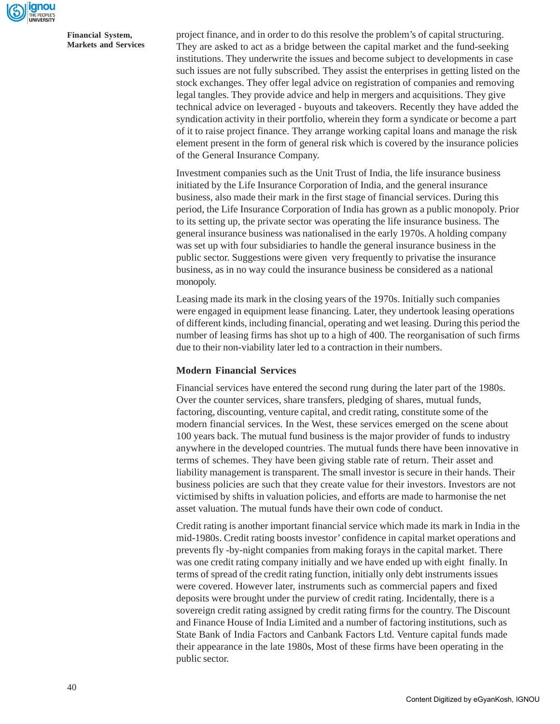

project finance, and in order to do this resolve the problem's of capital structuring. They are asked to act as a bridge between the capital market and the fund-seeking institutions. They underwrite the issues and become subject to developments in case such issues are not fully subscribed. They assist the enterprises in getting listed on the stock exchanges. They offer legal advice on registration of companies and removing legal tangles. They provide advice and help in mergers and acquisitions. They give technical advice on leveraged - buyouts and takeovers. Recently they have added the syndication activity in their portfolio, wherein they form a syndicate or become a part of it to raise project finance. They arrange working capital loans and manage the risk element present in the form of general risk which is covered by the insurance policies of the General Insurance Company.

Investment companies such as the Unit Trust of India, the life insurance business initiated by the Life Insurance Corporation of India, and the general insurance business, also made their mark in the first stage of financial services. During this period, the Life Insurance Corporation of India has grown as a public monopoly. Prior to its setting up, the private sector was operating the life insurance business. The general insurance business was nationalised in the early 1970s. A holding company was set up with four subsidiaries to handle the general insurance business in the public sector. Suggestions were given very frequently to privatise the insurance business, as in no way could the insurance business be considered as a national monopoly.

Leasing made its mark in the closing years of the 1970s. Initially such companies were engaged in equipment lease financing. Later, they undertook leasing operations of different kinds, including financial, operating and wet leasing. During this period the number of leasing firms has shot up to a high of 400. The reorganisation of such firms due to their non-viability later led to a contraction in their numbers.

### **Modern Financial Services**

Financial services have entered the second rung during the later part of the 1980s. Over the counter services, share transfers, pledging of shares, mutual funds, factoring, discounting, venture capital, and credit rating, constitute some of the modern financial services. In the West, these services emerged on the scene about 100 years back. The mutual fund business is the major provider of funds to industry anywhere in the developed countries. The mutual funds there have been innovative in terms of schemes. They have been giving stable rate of return. Their asset and liability management is transparent. The small investor is secure in their hands. Their business policies are such that they create value for their investors. Investors are not victimised by shifts in valuation policies, and efforts are made to harmonise the net asset valuation. The mutual funds have their own code of conduct.

Credit rating is another important financial service which made its mark in India in the mid-1980s. Credit rating boosts investor' confidence in capital market operations and prevents fly -by-night companies from making forays in the capital market. There was one credit rating company initially and we have ended up with eight finally. In terms of spread of the credit rating function, initially only debt instruments issues were covered. However later, instruments such as commercial papers and fixed deposits were brought under the purview of credit rating. Incidentally, there is a sovereign credit rating assigned by credit rating firms for the country. The Discount and Finance House of India Limited and a number of factoring institutions, such as State Bank of India Factors and Canbank Factors Ltd. Venture capital funds made their appearance in the late 1980s, Most of these firms have been operating in the public sector.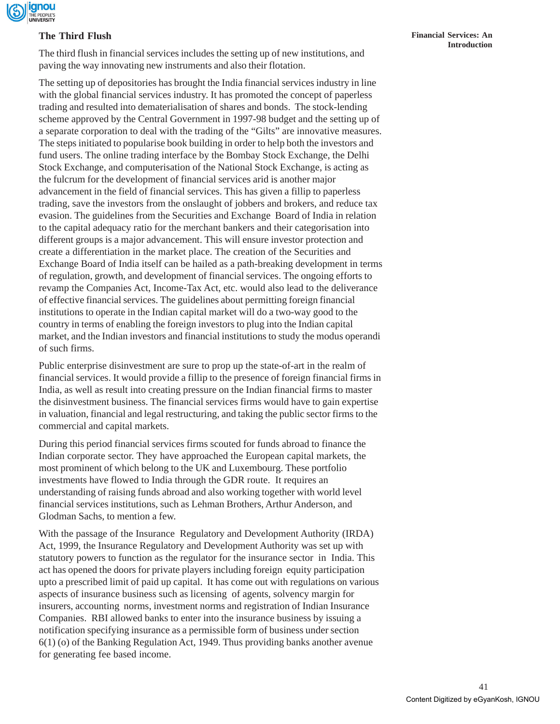

## **The Third Flush**

The third flush in financial services includes the setting up of new institutions, and paving the way innovating new instruments and also their flotation.

The setting up of depositories has brought the India financial services industry in line with the global financial services industry. It has promoted the concept of paperless trading and resulted into dematerialisation of shares and bonds. The stock-lending scheme approved by the Central Government in 1997-98 budget and the setting up of a separate corporation to deal with the trading of the "Gilts" are innovative measures. The steps initiated to popularise book building in order to help both the investors and fund users. The online trading interface by the Bombay Stock Exchange, the Delhi Stock Exchange, and computerisation of the National Stock Exchange, is acting as the fulcrum for the development of financial services arid is another major advancement in the field of financial services. This has given a fillip to paperless trading, save the investors from the onslaught of jobbers and brokers, and reduce tax evasion. The guidelines from the Securities and Exchange Board of India in relation to the capital adequacy ratio for the merchant bankers and their categorisation into different groups is a major advancement. This will ensure investor protection and create a differentiation in the market place. The creation of the Securities and Exchange Board of India itself can be hailed as a path-breaking development in terms of regulation, growth, and development of financial services. The ongoing efforts to revamp the Companies Act, Income-Tax Act, etc. would also lead to the deliverance of effective financial services. The guidelines about permitting foreign financial institutions to operate in the Indian capital market will do a two-way good to the country in terms of enabling the foreign investors to plug into the Indian capital market, and the Indian investors and financial institutions to study the modus operandi of such firms.

Public enterprise disinvestment are sure to prop up the state-of-art in the realm of financial services. It would provide a fillip to the presence of foreign financial firms in India, as well as result into creating pressure on the Indian financial firms to master the disinvestment business. The financial services firms would have to gain expertise in valuation, financial and legal restructuring, and taking the public sector firms to the commercial and capital markets.

During this period financial services firms scouted for funds abroad to finance the Indian corporate sector. They have approached the European capital markets, the most prominent of which belong to the UK and Luxembourg. These portfolio investments have flowed to India through the GDR route. It requires an understanding of raising funds abroad and also working together with world level financial services institutions, such as Lehman Brothers, Arthur Anderson, and Glodman Sachs, to mention a few.

With the passage of the Insurance Regulatory and Development Authority (IRDA) Act, 1999, the Insurance Regulatory and Development Authority was set up with statutory powers to function as the regulator for the insurance sector in India. This act has opened the doors for private players including foreign equity participation upto a prescribed limit of paid up capital. It has come out with regulations on various aspects of insurance business such as licensing of agents, solvency margin for insurers, accounting norms, investment norms and registration of Indian Insurance Companies. RBI allowed banks to enter into the insurance business by issuing a notification specifying insurance as a permissible form of business under section 6(1) (o) of the Banking Regulation Act, 1949. Thus providing banks another avenue for generating fee based income.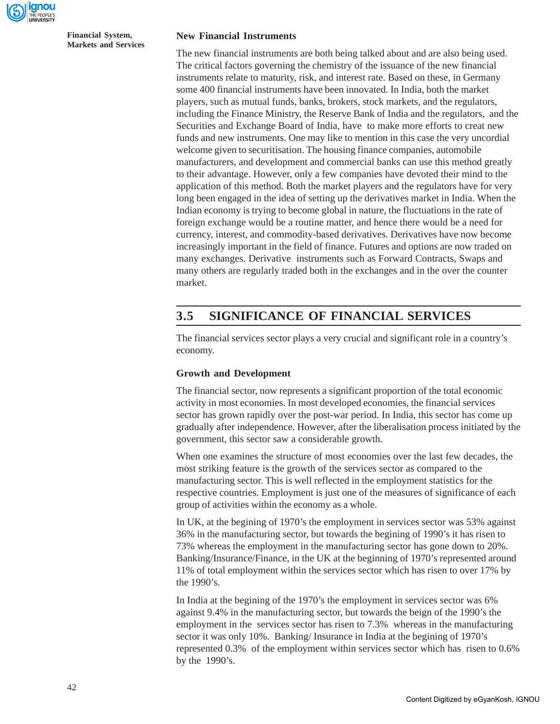

#### **New Financial Instruments**

The new financial instruments are both being talked about and are also being used. The critical factors governing the chemistry of the issuance of the new financial instruments relate to maturity, risk, and interest rate. Based on these, in Germany some 400 financial instruments have been innovated. In India, both the market players, such as mutual funds, banks, brokers, stock markets, and the regulators, including the Finance Ministry, the Reserve Bank of India and the regulators, and the Securities and Exchange Board of India, have to make more efforts to creat new funds and new instruments. One may like to mention in this case the very uncordial welcome given to securitisation. The housing finance companies, automobile manufacturers, and development and commercial banks can use this method greatly to their advantage. However, only a few companies have devoted their mind to the application of this method. Both the market players and the regulators have for very long been engaged in the idea of setting up the derivatives market in India. When the Indian economy is trying to become global in nature, the fluctuations in the rate of foreign exchange would be a routine matter, and hence there would be a need for currency, interest, and commodity-based derivatives. Derivatives have now become increasingly important in the field of finance. Futures and options are now traded on many exchanges. Derivative instruments such as Forward Contracts, Swaps and many others are regularly traded both in the exchanges and in the over the counter market.

# **3.5 SIGNIFICANCE OF FINANCIAL SERVICES**

The financial services sector plays a very crucial and significant role in a country's economy.

#### **Growth and Development**

The financial sector, now represents a significant proportion of the total economic activity in most economies. In most developed economies, the financial services sector has grown rapidly over the post-war period. In India, this sector has come up gradually after independence. However, after the liberalisation process initiated by the government, this sector saw a considerable growth.

When one examines the structure of most economies over the last few decades, the most striking feature is the growth of the services sector as compared to the manufacturing sector. This is well reflected in the employment statistics for the respective countries. Employment is just one of the measures of significance of each group of activities within the economy as a whole.

In UK, at the begining of 1970's the employment in services sector was 53% against 36% in the manufacturing sector, but towards the begining of 1990's it has risen to 73% whereas the employment in the manufacturing sector has gone down to 20%. Banking/Insurance/Finance, in the UK at the beginning of 1970's represented around 11% of total employment within the services sector which has risen to over 17% by the 1990's.

In India at the begining of the 1970's the employment in services sector was 6% against 9.4% in the manufacturing sector, but towards the beign of the 1990's the employment in the services sector has risen to 7.3% whereas in the manufacturing sector it was only 10%. Banking/ Insurance in India at the begining of 1970's represented 0.3% of the employment within services sector which has risen to 0.6% by the 1990's.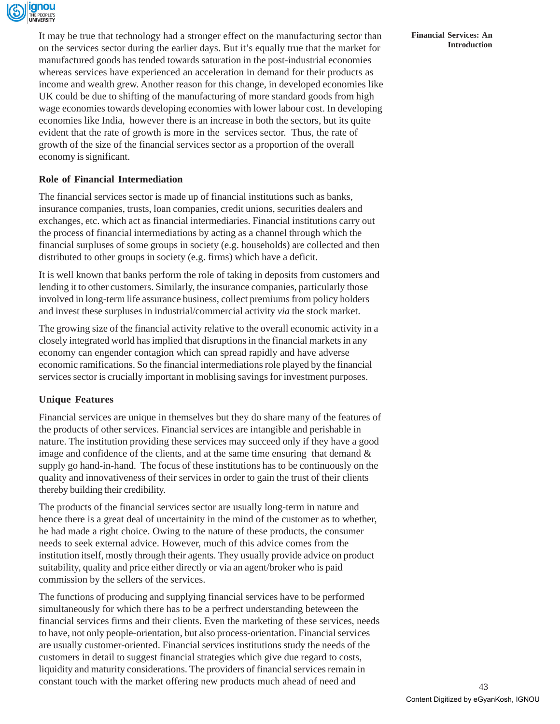

It may be true that technology had a stronger effect on the manufacturing sector than on the services sector during the earlier days. But it's equally true that the market for manufactured goods has tended towards saturation in the post-industrial economies whereas services have experienced an acceleration in demand for their products as income and wealth grew. Another reason for this change, in developed economies like UK could be due to shifting of the manufacturing of more standard goods from high wage economies towards developing economies with lower labour cost. In developing economies like India, however there is an increase in both the sectors, but its quite evident that the rate of growth is more in the services sector. Thus, the rate of growth of the size of the financial services sector as a proportion of the overall economy is significant.

## **Role of Financial Intermediation**

The financial services sector is made up of financial institutions such as banks, insurance companies, trusts, loan companies, credit unions, securities dealers and exchanges, etc. which act as financial intermediaries. Financial institutions carry out the process of financial intermediations by acting as a channel through which the financial surpluses of some groups in society (e.g. households) are collected and then distributed to other groups in society (e.g. firms) which have a deficit.

It is well known that banks perform the role of taking in deposits from customers and lending it to other customers. Similarly, the insurance companies, particularly those involved in long-term life assurance business, collect premiums from policy holders and invest these surpluses in industrial/commercial activity *via* the stock market.

The growing size of the financial activity relative to the overall economic activity in a closely integrated world has implied that disruptions in the financial markets in any economy can engender contagion which can spread rapidly and have adverse economic ramifications. So the financial intermediations role played by the financial services sector is crucially important in moblising savings for investment purposes.

## **Unique Features**

Financial services are unique in themselves but they do share many of the features of the products of other services. Financial services are intangible and perishable in nature. The institution providing these services may succeed only if they have a good image and confidence of the clients, and at the same time ensuring that demand  $\&$ supply go hand-in-hand. The focus of these institutions has to be continuously on the quality and innovativeness of their services in order to gain the trust of their clients thereby building their credibility.

The products of the financial services sector are usually long-term in nature and hence there is a great deal of uncertainity in the mind of the customer as to whether, he had made a right choice. Owing to the nature of these products, the consumer needs to seek external advice. However, much of this advice comes from the institution itself, mostly through their agents. They usually provide advice on product suitability, quality and price either directly or via an agent/broker who is paid commission by the sellers of the services.

The functions of producing and supplying financial services have to be performed simultaneously for which there has to be a perfrect understanding beteween the financial services firms and their clients. Even the marketing of these services, needs to have, not only people-orientation, but also process-orientation. Financial services are usually customer-oriented. Financial services institutions study the needs of the customers in detail to suggest financial strategies which give due regard to costs, liquidity and maturity considerations. The providers of financial services remain in constant touch with the market offering new products much ahead of need and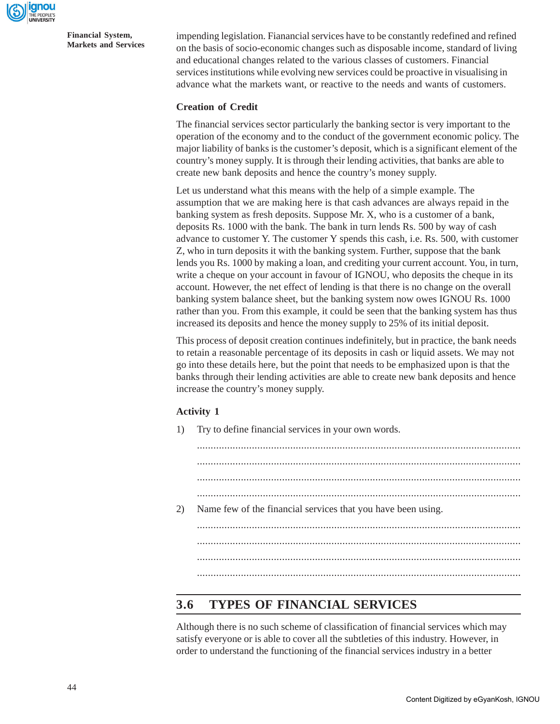

impending legislation. Fianancial services have to be constantly redefined and refined on the basis of socio-economic changes such as disposable income, standard of living and educational changes related to the various classes of customers. Financial services institutions while evolving new services could be proactive in visualising in advance what the markets want, or reactive to the needs and wants of customers.

#### **Creation of Credit**

The financial services sector particularly the banking sector is very important to the operation of the economy and to the conduct of the government economic policy. The major liability of banks is the customer's deposit, which is a significant element of the country's money supply. It is through their lending activities, that banks are able to create new bank deposits and hence the country's money supply.

Let us understand what this means with the help of a simple example. The assumption that we are making here is that cash advances are always repaid in the banking system as fresh deposits. Suppose Mr. X, who is a customer of a bank, deposits Rs. 1000 with the bank. The bank in turn lends Rs. 500 by way of cash advance to customer Y. The customer Y spends this cash, i.e. Rs. 500, with customer Z, who in turn deposits it with the banking system. Further, suppose that the bank lends you Rs. 1000 by making a loan, and crediting your current account. You, in turn, write a cheque on your account in favour of IGNOU, who deposits the cheque in its account. However, the net effect of lending is that there is no change on the overall banking system balance sheet, but the banking system now owes IGNOU Rs. 1000 rather than you. From this example, it could be seen that the banking system has thus increased its deposits and hence the money supply to 25% of its initial deposit.

This process of deposit creation continues indefinitely, but in practice, the bank needs to retain a reasonable percentage of its deposits in cash or liquid assets. We may not go into these details here, but the point that needs to be emphasized upon is that the banks through their lending activities are able to create new bank deposits and hence increase the country's money supply.

### **Activity 1**

1) Try to define financial services in your own words.

...................................................................................................................... ...................................................................................................................... ...................................................................................................................... ...................................................................................................................... 2) Name few of the financial services that you have been using. ...................................................................................................................... ...................................................................................................................... ...................................................................................................................... ......................................................................................................................

# **3.6 TYPES OF FINANCIAL SERVICES**

Although there is no such scheme of classification of financial services which may satisfy everyone or is able to cover all the subtleties of this industry. However, in order to understand the functioning of the financial services industry in a better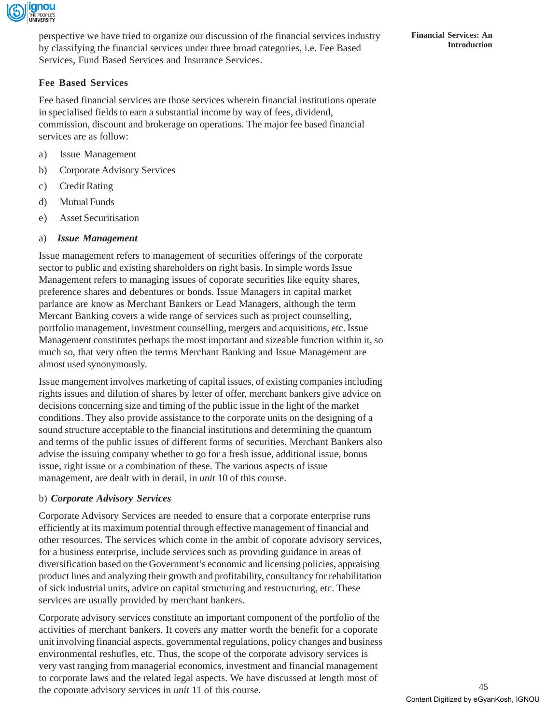

perspective we have tried to organize our discussion of the financial services industry by classifying the financial services under three broad categories, i.e. Fee Based Services, Fund Based Services and Insurance Services.

# **Fee Based Services**

Fee based financial services are those services wherein financial institutions operate in specialised fields to earn a substantial income by way of fees, dividend, commission, discount and brokerage on operations. The major fee based financial services are as follow:

- a) Issue Management
- b) Corporate Advisory Services
- c) Credit Rating
- d) Mutual Funds
- e) Asset Securitisation
- a) *Issue Management*

Issue management refers to management of securities offerings of the corporate sector to public and existing shareholders on right basis. In simple words Issue Management refers to managing issues of coporate securities like equity shares, preference shares and debentures or bonds. Issue Managers in capital market parlance are know as Merchant Bankers or Lead Managers, although the term Mercant Banking covers a wide range of services such as project counselling, portfolio management, investment counselling, mergers and acquisitions, etc. Issue Management constitutes perhaps the most important and sizeable function within it, so much so, that very often the terms Merchant Banking and Issue Management are almost used synonymously.

Issue mangement involves marketing of capital issues, of existing companies including rights issues and dilution of shares by letter of offer, merchant bankers give advice on decisions concerning size and timing of the public issue in the light of the market conditions. They also provide assistance to the corporate units on the designing of a sound structure acceptable to the financial institutions and determining the quantum and terms of the public issues of different forms of securities. Merchant Bankers also advise the issuing company whether to go for a fresh issue, additional issue, bonus issue, right issue or a combination of these. The various aspects of issue management, are dealt with in detail, in *unit* 10 of this course.

## b) *Corporate Advisory Services*

Corporate Advisory Services are needed to ensure that a corporate enterprise runs efficiently at its maximum potential through effective management of financial and other resources. The services which come in the ambit of coporate advisory services, for a business enterprise, include services such as providing guidance in areas of diversification based on the Government's economic and licensing policies, appraising product lines and analyzing their growth and profitability, consultancy for rehabilitation of sick industrial units, advice on capital structuring and restructuring, etc. These services are usually provided by merchant bankers.

Corporate advisory services constitute an important component of the portfolio of the activities of merchant bankers. It covers any matter worth the benefit for a coporate unit involving financial aspects, governmental regulations, policy changes and business environmental reshufles, etc. Thus, the scope of the corporate advisory services is very vast ranging from managerial economics, investment and financial management to corporate laws and the related legal aspects. We have discussed at length most of the coporate advisory services in *unit* 11 of this course.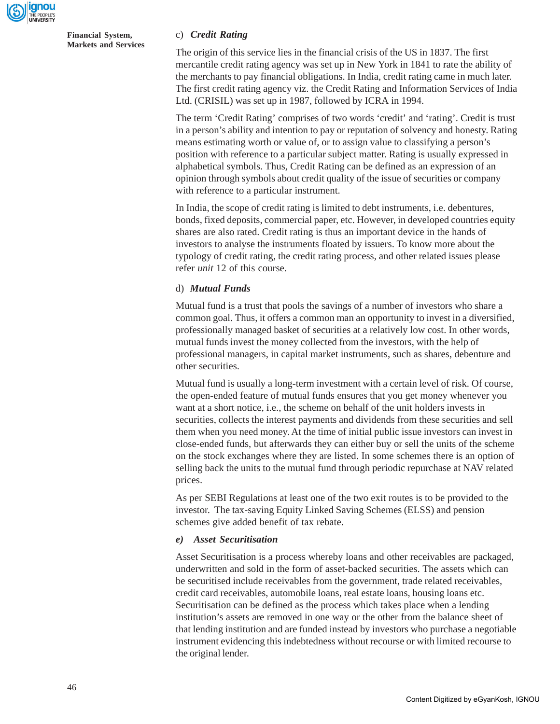

## c) *Credit Rating*

The origin of this service lies in the financial crisis of the US in 1837. The first mercantile credit rating agency was set up in New York in 1841 to rate the ability of the merchants to pay financial obligations. In India, credit rating came in much later. The first credit rating agency viz. the Credit Rating and Information Services of India Ltd. (CRISIL) was set up in 1987, followed by ICRA in 1994.

The term 'Credit Rating' comprises of two words 'credit' and 'rating'. Credit is trust in a person's ability and intention to pay or reputation of solvency and honesty. Rating means estimating worth or value of, or to assign value to classifying a person's position with reference to a particular subject matter. Rating is usually expressed in alphabetical symbols. Thus, Credit Rating can be defined as an expression of an opinion through symbols about credit quality of the issue of securities or company with reference to a particular instrument.

In India, the scope of credit rating is limited to debt instruments, i.e. debentures, bonds, fixed deposits, commercial paper, etc. However, in developed countries equity shares are also rated. Credit rating is thus an important device in the hands of investors to analyse the instruments floated by issuers. To know more about the typology of credit rating, the credit rating process, and other related issues please refer *unit* 12 of this course.

#### d) *Mutual Funds*

Mutual fund is a trust that pools the savings of a number of investors who share a common goal. Thus, it offers a common man an opportunity to invest in a diversified, professionally managed basket of securities at a relatively low cost. In other words, mutual funds invest the money collected from the investors, with the help of professional managers, in capital market instruments, such as shares, debenture and other securities.

Mutual fund is usually a long-term investment with a certain level of risk. Of course, the open-ended feature of mutual funds ensures that you get money whenever you want at a short notice, i.e., the scheme on behalf of the unit holders invests in securities, collects the interest payments and dividends from these securities and sell them when you need money. At the time of initial public issue investors can invest in close-ended funds, but afterwards they can either buy or sell the units of the scheme on the stock exchanges where they are listed. In some schemes there is an option of selling back the units to the mutual fund through periodic repurchase at NAV related prices.

As per SEBI Regulations at least one of the two exit routes is to be provided to the investor. The tax-saving Equity Linked Saving Schemes (ELSS) and pension schemes give added benefit of tax rebate.

#### *e) Asset Securitisation*

Asset Securitisation is a process whereby loans and other receivables are packaged, underwritten and sold in the form of asset-backed securities. The assets which can be securitised include receivables from the government, trade related receivables, credit card receivables, automobile loans, real estate loans, housing loans etc. Securitisation can be defined as the process which takes place when a lending institution's assets are removed in one way or the other from the balance sheet of that lending institution and are funded instead by investors who purchase a negotiable instrument evidencing this indebtedness without recourse or with limited recourse to the original lender.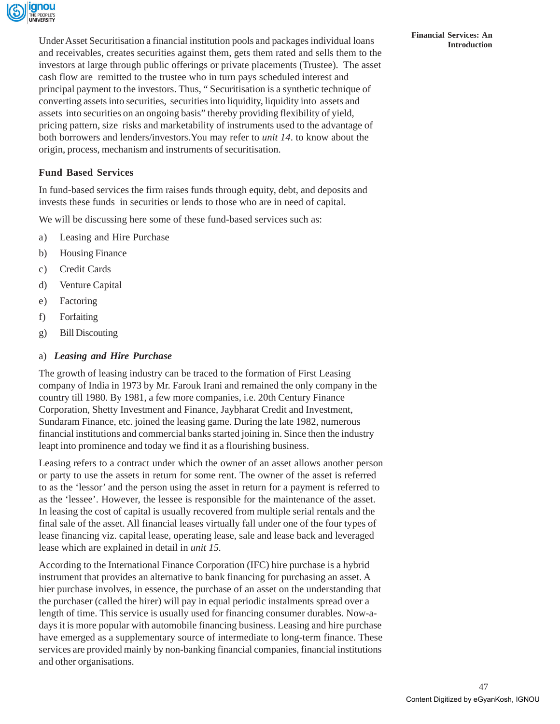

**Financial Services: An Financial Services: An Inder Asset Securitisation a financial institution pools and packages individual loans Introduction** and receivables, creates securities against them, gets them rated and sells them to the investors at large through public offerings or private placements (Trustee). The asset cash flow are remitted to the trustee who in turn pays scheduled interest and principal payment to the investors. Thus, " Securitisation is a synthetic technique of converting assets into securities, securities into liquidity, liquidity into assets and assets into securities on an ongoing basis" thereby providing flexibility of yield, pricing pattern, size risks and marketability of instruments used to the advantage of both borrowers and lenders/investors.You may refer to *unit 14*. to know about the origin, process, mechanism and instruments of securitisation.

# **Fund Based Services**

In fund-based services the firm raises funds through equity, debt, and deposits and invests these funds in securities or lends to those who are in need of capital.

We will be discussing here some of these fund-based services such as:

- a) Leasing and Hire Purchase
- b) Housing Finance
- c) Credit Cards
- d) Venture Capital
- e) Factoring
- f) Forfaiting
- g) Bill Discouting

## a) *Leasing and Hire Purchase*

The growth of leasing industry can be traced to the formation of First Leasing company of India in 1973 by Mr. Farouk Irani and remained the only company in the country till 1980. By 1981, a few more companies, i.e. 20th Century Finance Corporation, Shetty Investment and Finance, Jaybharat Credit and Investment, Sundaram Finance, etc. joined the leasing game. During the late 1982, numerous financial institutions and commercial banks started joining in. Since then the industry leapt into prominence and today we find it as a flourishing business.

Leasing refers to a contract under which the owner of an asset allows another person or party to use the assets in return for some rent. The owner of the asset is referred to as the 'lessor' and the person using the asset in return for a payment is referred to as the 'lessee'. However, the lessee is responsible for the maintenance of the asset. In leasing the cost of capital is usually recovered from multiple serial rentals and the final sale of the asset. All financial leases virtually fall under one of the four types of lease financing viz. capital lease, operating lease, sale and lease back and leveraged lease which are explained in detail in *unit 15.*

According to the International Finance Corporation (IFC) hire purchase is a hybrid instrument that provides an alternative to bank financing for purchasing an asset. A hier purchase involves, in essence, the purchase of an asset on the understanding that the purchaser (called the hirer) will pay in equal periodic instalments spread over a length of time. This service is usually used for financing consumer durables. Now-adays it is more popular with automobile financing business. Leasing and hire purchase have emerged as a supplementary source of intermediate to long-term finance. These services are provided mainly by non-banking financial companies, financial institutions and other organisations.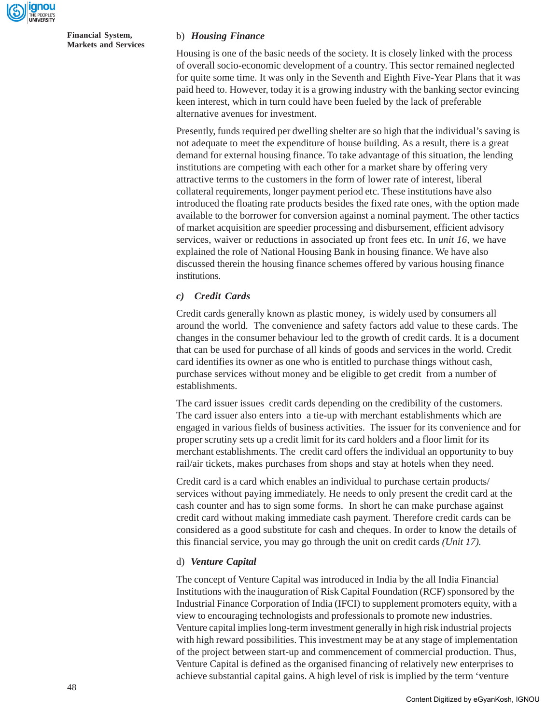

#### b) *Housing Finance*

Housing is one of the basic needs of the society. It is closely linked with the process of overall socio-economic development of a country. This sector remained neglected for quite some time. It was only in the Seventh and Eighth Five-Year Plans that it was paid heed to. However, today it is a growing industry with the banking sector evincing keen interest, which in turn could have been fueled by the lack of preferable alternative avenues for investment.

Presently, funds required per dwelling shelter are so high that the individual's saving is not adequate to meet the expenditure of house building. As a result, there is a great demand for external housing finance. To take advantage of this situation, the lending institutions are competing with each other for a market share by offering very attractive terms to the customers in the form of lower rate of interest, liberal collateral requirements, longer payment period etc. These institutions have also introduced the floating rate products besides the fixed rate ones, with the option made available to the borrower for conversion against a nominal payment. The other tactics of market acquisition are speedier processing and disbursement, efficient advisory services, waiver or reductions in associated up front fees etc. In *unit 16,* we have explained the role of National Housing Bank in housing finance. We have also discussed therein the housing finance schemes offered by various housing finance institutions.

#### *c) Credit Cards*

Credit cards generally known as plastic money, is widely used by consumers all around the world. The convenience and safety factors add value to these cards. The changes in the consumer behaviour led to the growth of credit cards. It is a document that can be used for purchase of all kinds of goods and services in the world. Credit card identifies its owner as one who is entitled to purchase things without cash, purchase services without money and be eligible to get credit from a number of establishments.

The card issuer issues credit cards depending on the credibility of the customers. The card issuer also enters into a tie-up with merchant establishments which are engaged in various fields of business activities. The issuer for its convenience and for proper scrutiny sets up a credit limit for its card holders and a floor limit for its merchant establishments. The credit card offers the individual an opportunity to buy rail/air tickets, makes purchases from shops and stay at hotels when they need.

Credit card is a card which enables an individual to purchase certain products/ services without paying immediately. He needs to only present the credit card at the cash counter and has to sign some forms. In short he can make purchase against credit card without making immediate cash payment. Therefore credit cards can be considered as a good substitute for cash and cheques. In order to know the details of this financial service, you may go through the unit on credit cards *(Unit 17).*

#### d) *Venture Capital*

The concept of Venture Capital was introduced in India by the all India Financial Institutions with the inauguration of Risk Capital Foundation (RCF) sponsored by the Industrial Finance Corporation of India (IFCI) to supplement promoters equity, with a view to encouraging technologists and professionals to promote new industries. Venture capital implies long-term investment generally in high risk industrial projects with high reward possibilities. This investment may be at any stage of implementation of the project between start-up and commencement of commercial production. Thus, Venture Capital is defined as the organised financing of relatively new enterprises to achieve substantial capital gains. A high level of risk is implied by the term 'venture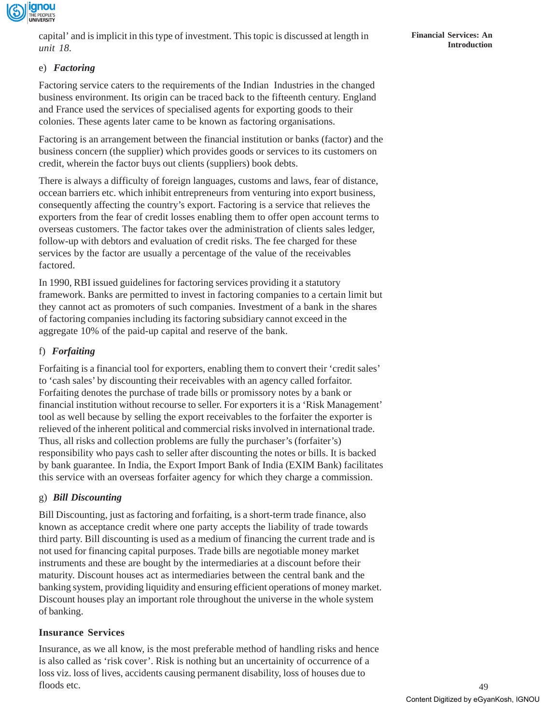

capital' and is implicit in this type of investment. This topic is discussed at length in *unit 18.*

## e) *Factoring*

Factoring service caters to the requirements of the Indian Industries in the changed business environment. Its origin can be traced back to the fifteenth century. England and France used the services of specialised agents for exporting goods to their colonies. These agents later came to be known as factoring organisations.

Factoring is an arrangement between the financial institution or banks (factor) and the business concern (the supplier) which provides goods or services to its customers on credit, wherein the factor buys out clients (suppliers) book debts.

There is always a difficulty of foreign languages, customs and laws, fear of distance, occean barriers etc. which inhibit entrepreneurs from venturing into export business, consequently affecting the country's export. Factoring is a service that relieves the exporters from the fear of credit losses enabling them to offer open account terms to overseas customers. The factor takes over the administration of clients sales ledger, follow-up with debtors and evaluation of credit risks. The fee charged for these services by the factor are usually a percentage of the value of the receivables factored.

In 1990, RBI issued guidelines for factoring services providing it a statutory framework. Banks are permitted to invest in factoring companies to a certain limit but they cannot act as promoters of such companies. Investment of a bank in the shares of factoring companies including its factoring subsidiary cannot exceed in the aggregate 10% of the paid-up capital and reserve of the bank.

## f) *Forfaiting*

Forfaiting is a financial tool for exporters, enabling them to convert their 'credit sales' to 'cash sales' by discounting their receivables with an agency called forfaitor. Forfaiting denotes the purchase of trade bills or promissory notes by a bank or financial institution without recourse to seller. For exporters it is a 'Risk Management' tool as well because by selling the export receivables to the forfaiter the exporter is relieved of the inherent political and commercial risks involved in international trade. Thus, all risks and collection problems are fully the purchaser's (forfaiter's) responsibility who pays cash to seller after discounting the notes or bills. It is backed by bank guarantee. In India, the Export Import Bank of India (EXIM Bank) facilitates this service with an overseas forfaiter agency for which they charge a commission.

### g) *Bill Discounting*

Bill Discounting, just as factoring and forfaiting, is a short-term trade finance, also known as acceptance credit where one party accepts the liability of trade towards third party. Bill discounting is used as a medium of financing the current trade and is not used for financing capital purposes. Trade bills are negotiable money market instruments and these are bought by the intermediaries at a discount before their maturity. Discount houses act as intermediaries between the central bank and the banking system, providing liquidity and ensuring efficient operations of money market. Discount houses play an important role throughout the universe in the whole system of banking.

### **Insurance Services**

Insurance, as we all know, is the most preferable method of handling risks and hence is also called as 'risk cover'. Risk is nothing but an uncertainity of occurrence of a loss viz. loss of lives, accidents causing permanent disability, loss of houses due to floods etc.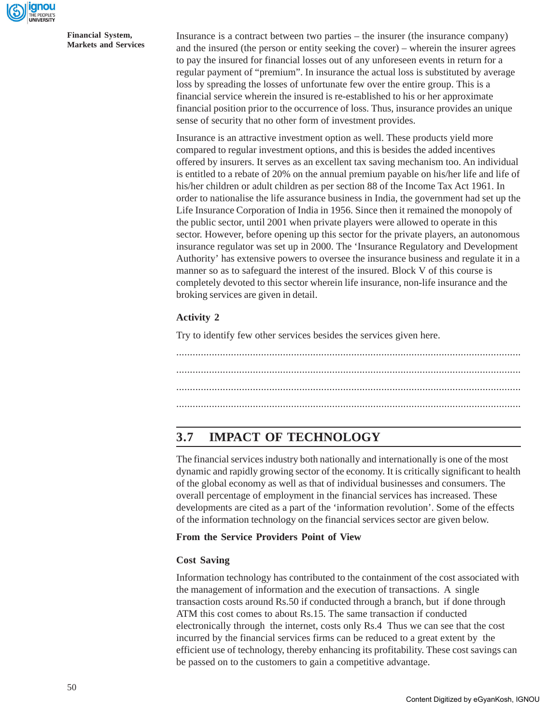

Insurance is a contract between two parties – the insurer (the insurance company) and the insured (the person or entity seeking the cover) – wherein the insurer agrees to pay the insured for financial losses out of any unforeseen events in return for a regular payment of "premium". In insurance the actual loss is substituted by average loss by spreading the losses of unfortunate few over the entire group. This is a financial service wherein the insured is re-established to his or her approximate financial position prior to the occurrence of loss. Thus, insurance provides an unique sense of security that no other form of investment provides.

Insurance is an attractive investment option as well. These products yield more compared to regular investment options, and this is besides the added incentives offered by insurers. It serves as an excellent tax saving mechanism too. An individual is entitled to a rebate of 20% on the annual premium payable on his/her life and life of his/her children or adult children as per section 88 of the Income Tax Act 1961. In order to nationalise the life assurance business in India, the government had set up the Life Insurance Corporation of India in 1956. Since then it remained the monopoly of the public sector, until 2001 when private players were allowed to operate in this sector. However, before opening up this sector for the private players, an autonomous insurance regulator was set up in 2000. The 'Insurance Regulatory and Development Authority' has extensive powers to oversee the insurance business and regulate it in a manner so as to safeguard the interest of the insured. Block V of this course is completely devoted to this sector wherein life insurance, non-life insurance and the broking services are given in detail.

# **Activity 2**

Try to identify few other services besides the services given here.

.............................................................................................................................. .............................................................................................................................. .............................................................................................................................. ..............................................................................................................................

# **3.7 IMPACT OF TECHNOLOGY**

The financial services industry both nationally and internationally is one of the most dynamic and rapidly growing sector of the economy. It is critically significant to health of the global economy as well as that of individual businesses and consumers. The overall percentage of employment in the financial services has increased. These developments are cited as a part of the 'information revolution'. Some of the effects of the information technology on the financial services sector are given below.

## **From the Service Providers Point of View**

## **Cost Saving**

Information technology has contributed to the containment of the cost associated with the management of information and the execution of transactions. A single transaction costs around Rs.50 if conducted through a branch, but if done through ATM this cost comes to about Rs.15. The same transaction if conducted electronically through the internet, costs only Rs.4 Thus we can see that the cost incurred by the financial services firms can be reduced to a great extent by the efficient use of technology, thereby enhancing its profitability. These cost savings can be passed on to the customers to gain a competitive advantage.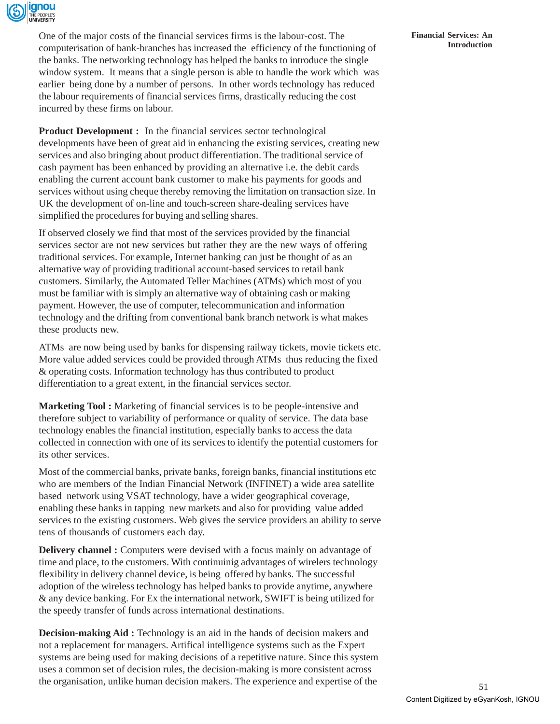

One of the major costs of the financial services firms is the labour-cost. The computerisation of bank-branches has increased the efficiency of the functioning of the banks. The networking technology has helped the banks to introduce the single window system. It means that a single person is able to handle the work which was earlier being done by a number of persons. In other words technology has reduced the labour requirements of financial services firms, drastically reducing the cost incurred by these firms on labour.

**Product Development :** In the financial services sector technological developments have been of great aid in enhancing the existing services, creating new services and also bringing about product differentiation. The traditional service of cash payment has been enhanced by providing an alternative i.e. the debit cards enabling the current account bank customer to make his payments for goods and services without using cheque thereby removing the limitation on transaction size. In UK the development of on-line and touch-screen share-dealing services have simplified the procedures for buying and selling shares.

If observed closely we find that most of the services provided by the financial services sector are not new services but rather they are the new ways of offering traditional services. For example, Internet banking can just be thought of as an alternative way of providing traditional account-based services to retail bank customers. Similarly, the Automated Teller Machines (ATMs) which most of you must be familiar with is simply an alternative way of obtaining cash or making payment. However, the use of computer, telecommunication and information technology and the drifting from conventional bank branch network is what makes these products new.

ATMs are now being used by banks for dispensing railway tickets, movie tickets etc. More value added services could be provided through ATMs thus reducing the fixed & operating costs. Information technology has thus contributed to product differentiation to a great extent, in the financial services sector.

**Marketing Tool :** Marketing of financial services is to be people-intensive and therefore subject to variability of performance or quality of service. The data base technology enables the financial institution, especially banks to access the data collected in connection with one of its services to identify the potential customers for its other services.

Most of the commercial banks, private banks, foreign banks, financial institutions etc who are members of the Indian Financial Network (INFINET) a wide area satellite based network using VSAT technology, have a wider geographical coverage, enabling these banks in tapping new markets and also for providing value added services to the existing customers. Web gives the service providers an ability to serve tens of thousands of customers each day.

**Delivery channel :** Computers were devised with a focus mainly on advantage of time and place, to the customers. With continuinig advantages of wirelers technology flexibility in delivery channel device, is being offered by banks. The successful adoption of the wireless technology has helped banks to provide anytime, anywhere & any device banking. For Ex the international network, SWIFT is being utilized for the speedy transfer of funds across international destinations.

**Decision-making Aid :** Technology is an aid in the hands of decision makers and not a replacement for managers. Artifical intelligence systems such as the Expert systems are being used for making decisions of a repetitive nature. Since this system uses a common set of decision rules, the decision-making is more consistent across the organisation, unlike human decision makers. The experience and expertise of the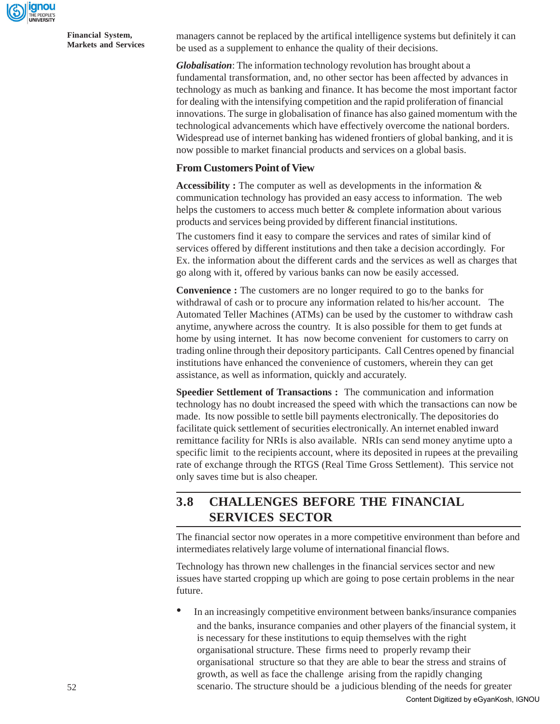

52

managers cannot be replaced by the artifical intelligence systems but definitely it can be used as a supplement to enhance the quality of their decisions.

*Globalisation*: The information technology revolution has brought about a fundamental transformation, and, no other sector has been affected by advances in technology as much as banking and finance. It has become the most important factor for dealing with the intensifying competition and the rapid proliferation of financial innovations. The surge in globalisation of finance has also gained momentum with the technological advancements which have effectively overcome the national borders. Widespread use of internet banking has widened frontiers of global banking, and it is now possible to market financial products and services on a global basis.

## **From Customers Point of View**

**Accessibility :** The computer as well as developments in the information & communication technology has provided an easy access to information. The web helps the customers to access much better & complete information about various products and services being provided by different financial institutions.

The customers find it easy to compare the services and rates of similar kind of services offered by different institutions and then take a decision accordingly. For Ex. the information about the different cards and the services as well as charges that go along with it, offered by various banks can now be easily accessed.

**Convenience :** The customers are no longer required to go to the banks for withdrawal of cash or to procure any information related to his/her account. The Automated Teller Machines (ATMs) can be used by the customer to withdraw cash anytime, anywhere across the country. It is also possible for them to get funds at home by using internet. It has now become convenient for customers to carry on trading online through their depository participants. Call Centres opened by financial institutions have enhanced the convenience of customers, wherein they can get assistance, as well as information, quickly and accurately.

**Speedier Settlement of Transactions :** The communication and information technology has no doubt increased the speed with which the transactions can now be made. Its now possible to settle bill payments electronically. The depositories do facilitate quick settlement of securities electronically. An internet enabled inward remittance facility for NRIs is also available. NRIs can send money anytime upto a specific limit to the recipients account, where its deposited in rupees at the prevailing rate of exchange through the RTGS (Real Time Gross Settlement). This service not only saves time but is also cheaper.

# **3.8 CHALLENGES BEFORE THE FINANCIAL SERVICES SECTOR**

The financial sector now operates in a more competitive environment than before and intermediates relatively large volume of international financial flows.

Technology has thrown new challenges in the financial services sector and new issues have started cropping up which are going to pose certain problems in the near future.

• In an increasingly competitive environment between banks/insurance companies and the banks, insurance companies and other players of the financial system, it is necessary for these institutions to equip themselves with the right organisational structure. These firms need to properly revamp their organisational structure so that they are able to bear the stress and strains of growth, as well as face the challenge arising from the rapidly changing scenario. The structure should be a judicious blending of the needs for greater Content Digitized by eGyanKosh, IGNOU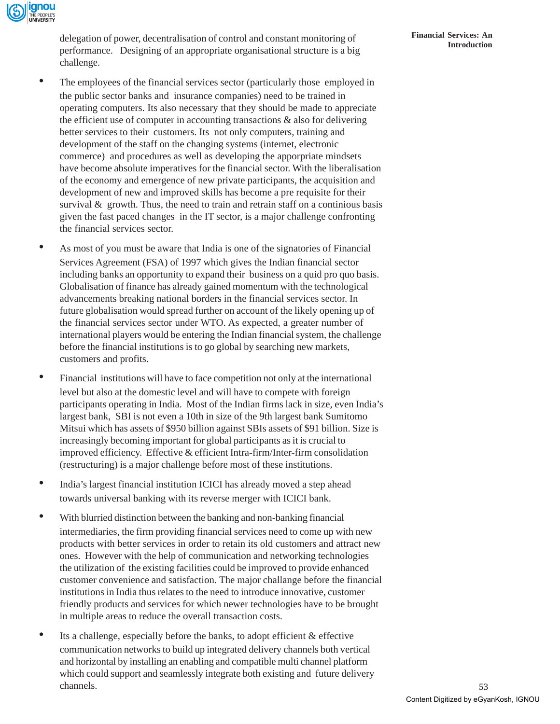

delegation of power, decentralisation of control and constant monitoring of performance. Designing of an appropriate organisational structure is a big challenge.

- The employees of the financial services sector (particularly those employed in the public sector banks and insurance companies) need to be trained in operating computers. Its also necessary that they should be made to appreciate the efficient use of computer in accounting transactions & also for delivering better services to their customers. Its not only computers, training and development of the staff on the changing systems (internet, electronic commerce) and procedures as well as developing the apporpriate mindsets have become absolute imperatives for the financial sector. With the liberalisation of the economy and emergence of new private participants, the acquisition and development of new and improved skills has become a pre requisite for their survival  $\&$  growth. Thus, the need to train and retrain staff on a continious basis given the fast paced changes in the IT sector, is a major challenge confronting the financial services sector.
- As most of you must be aware that India is one of the signatories of Financial Services Agreement (FSA) of 1997 which gives the Indian financial sector including banks an opportunity to expand their business on a quid pro quo basis. Globalisation of finance has already gained momentum with the technological advancements breaking national borders in the financial services sector. In future globalisation would spread further on account of the likely opening up of the financial services sector under WTO. As expected, a greater number of international players would be entering the Indian financial system, the challenge before the financial institutions is to go global by searching new markets, customers and profits.
- Financial institutions will have to face competition not only at the international level but also at the domestic level and will have to compete with foreign participants operating in India. Most of the Indian firms lack in size, even India's largest bank, SBI is not even a 10th in size of the 9th largest bank Sumitomo Mitsui which has assets of \$950 billion against SBIs assets of \$91 billion. Size is increasingly becoming important for global participants as it is crucial to improved efficiency. Effective & efficient Intra-firm/Inter-firm consolidation (restructuring) is a major challenge before most of these institutions.
- India's largest financial institution ICICI has already moved a step ahead towards universal banking with its reverse merger with ICICI bank.
- With blurried distinction between the banking and non-banking financial intermediaries, the firm providing financial services need to come up with new products with better services in order to retain its old customers and attract new ones. However with the help of communication and networking technologies the utilization of the existing facilities could be improved to provide enhanced customer convenience and satisfaction. The major challange before the financial institutions in India thus relates to the need to introduce innovative, customer friendly products and services for which newer technologies have to be brought in multiple areas to reduce the overall transaction costs.
- $\bullet$  Its a challenge, especially before the banks, to adopt efficient  $\&$  effective communication networks to build up integrated delivery channels both vertical and horizontal by installing an enabling and compatible multi channel platform which could support and seamlessly integrate both existing and future delivery channels.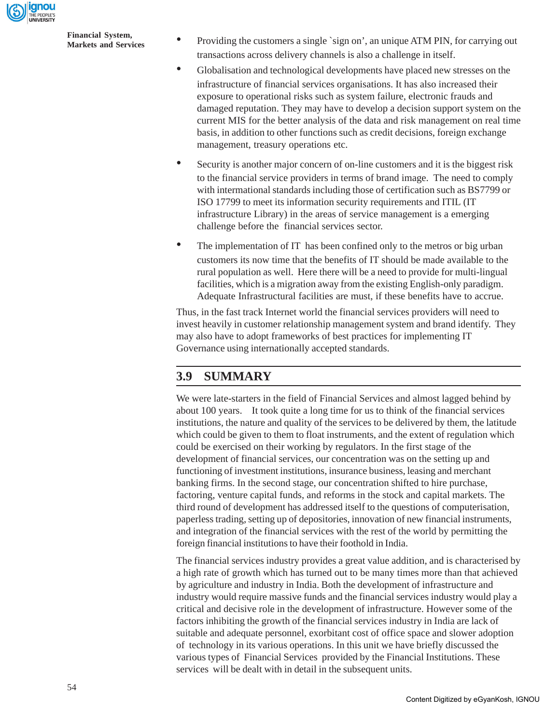

**Financial System,**

- **Markets and Services** Providing the customers a single `sign on', an unique ATM PIN, for carrying out Markets and Services transactions across delivery channels is also a challenge in itself.
	- Globalisation and technological developments have placed new stresses on the infrastructure of financial services organisations. It has also increased their exposure to operational risks such as system failure, electronic frauds and damaged reputation. They may have to develop a decision support system on the current MIS for the better analysis of the data and risk management on real time basis, in addition to other functions such as credit decisions, foreign exchange management, treasury operations etc.
	- Security is another major concern of on-line customers and it is the biggest risk to the financial service providers in terms of brand image. The need to comply with intermational standards including those of certification such as BS7799 or ISO 17799 to meet its information security requirements and ITIL (IT infrastructure Library) in the areas of service management is a emerging challenge before the financial services sector.
	- The implementation of IT has been confined only to the metros or big urban customers its now time that the benefits of IT should be made available to the rural population as well. Here there will be a need to provide for multi-lingual facilities, which is a migration away from the existing English-only paradigm. Adequate Infrastructural facilities are must, if these benefits have to accrue.

Thus, in the fast track Internet world the financial services providers will need to invest heavily in customer relationship management system and brand identify. They may also have to adopt frameworks of best practices for implementing IT Governance using internationally accepted standards.

# **3.9 SUMMARY**

We were late-starters in the field of Financial Services and almost lagged behind by about 100 years. It took quite a long time for us to think of the financial services institutions, the nature and quality of the services to be delivered by them, the latitude which could be given to them to float instruments, and the extent of regulation which could be exercised on their working by regulators. In the first stage of the development of financial services, our concentration was on the setting up and functioning of investment institutions, insurance business, leasing and merchant banking firms. In the second stage, our concentration shifted to hire purchase, factoring, venture capital funds, and reforms in the stock and capital markets. The third round of development has addressed itself to the questions of computerisation, paperless trading, setting up of depositories, innovation of new financial instruments, and integration of the financial services with the rest of the world by permitting the foreign financial institutions to have their foothold in India.

The financial services industry provides a great value addition, and is characterised by a high rate of growth which has turned out to be many times more than that achieved by agriculture and industry in India. Both the development of infrastructure and industry would require massive funds and the financial services industry would play a critical and decisive role in the development of infrastructure. However some of the factors inhibiting the growth of the financial services industry in India are lack of suitable and adequate personnel, exorbitant cost of office space and slower adoption of technology in its various operations. In this unit we have briefly discussed the various types of Financial Services provided by the Financial Institutions. These services will be dealt with in detail in the subsequent units.